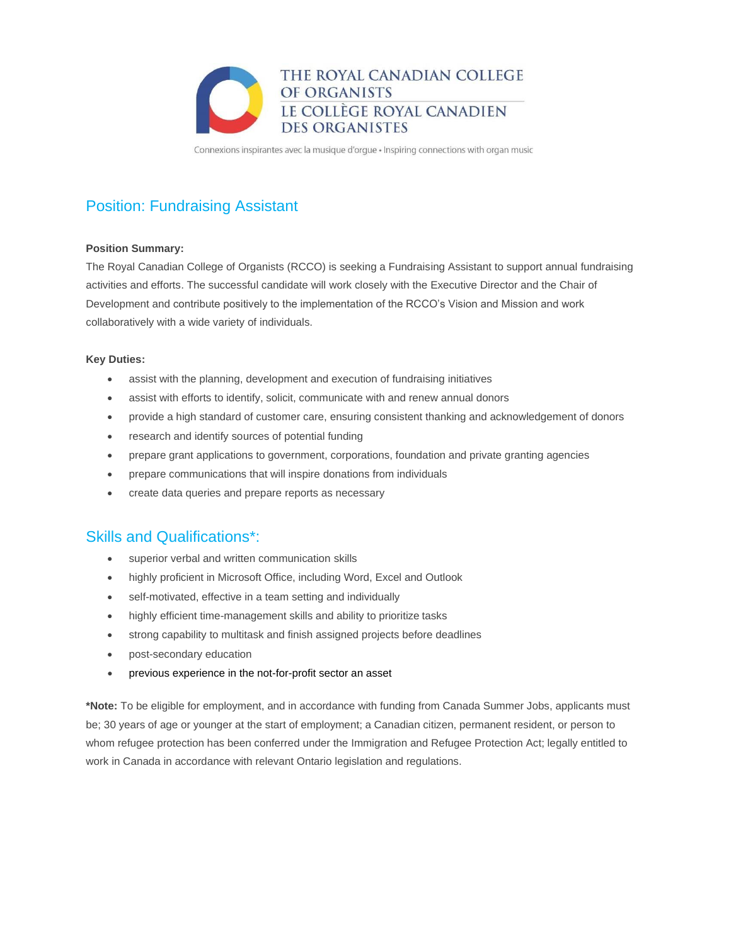

Connexions inspirantes avec la musique d'orgue · Inspiring connections with organ music

# Position: Fundraising Assistant

### **Position Summary:**

The Royal Canadian College of Organists (RCCO) is seeking a Fundraising Assistant to support annual fundraising activities and efforts. The successful candidate will work closely with the Executive Director and the Chair of Development and contribute positively to the implementation of the RCCO's Vision and Mission and work collaboratively with a wide variety of individuals.

### **Key Duties:**

- assist with the planning, development and execution of fundraising initiatives
- assist with efforts to identify, solicit, communicate with and renew annual donors
- provide a high standard of customer care, ensuring consistent thanking and acknowledgement of donors
- research and identify sources of potential funding
- prepare grant applications to government, corporations, foundation and private granting agencies
- prepare communications that will inspire donations from individuals
- create data queries and prepare reports as necessary

### Skills and Qualifications\*:

- superior verbal and written communication skills
- highly proficient in Microsoft Office, including Word, Excel and Outlook
- self-motivated, effective in a team setting and individually
- highly efficient time-management skills and ability to prioritize tasks
- strong capability to multitask and finish assigned projects before deadlines
- post-secondary education
- previous experience in the not-for-profit sector an asset

**\*Note:** To be eligible for employment, and in accordance with funding from Canada Summer Jobs, applicants must be; 30 years of age or younger at the start of employment; a Canadian citizen, permanent resident, or person to whom refugee protection has been conferred under the Immigration and Refugee Protection Act; legally entitled to work in Canada in accordance with relevant Ontario legislation and regulations.